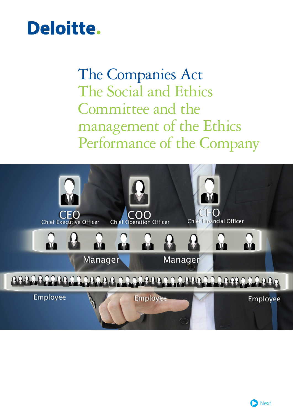## Deloitte.

The Companies Act The Social and Ethics Committee and the management of the Ethics Performance of the Company

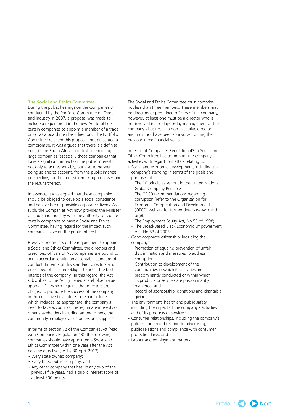## **The Social and Ethics Committee**

During the public hearings on the Companies Bill conducted by the Portfolio Committee on Trade and Industry in 2007, a proposal was made to include a requirement in the new Act to oblige certain companies to appoint a member of a trade union as a board member (director). The Portfolio Committee rejected this proposal, but presented a compromise. It was argued that there is a definite need in the South African context to encourage large companies (especially those companies that have a significant impact on the public interest) not only to act responsibly, but also to be seen doing so and to account, from the public interest perspective, for their decision-making processes and the results thereof.

In essence, it was argued that these companies should be obliged to develop a social conscience, and behave like responsible corporate citizens. As such, the Companies Act now provides the Minister of Trade and Industry with the authority to require certain companies to have a Social and Ethics Committee, having regard for the impact such companies have on the public interest.

However, regardless of the requirement to appoint a Social and Ethics Committee, the directors and prescribed officers of ALL companies are bound to act in accordance with an acceptable standard of conduct. In terms of this standard, directors and prescribed officers are obliged to act in the best interest of the company. In this regard, the Act subscribes to the "enlightened shareholder value approach" – which requires that directors are obliged to promote the success of the company in the collective best interest of shareholders, which includes, as appropriate, the company's need to take account of the legitimate interests of other stakeholders including among others, the community, employees, customers and suppliers.

In terms of section 72 of the Companies Act (read with Companies Regulation 43), the following companies should have appointed a Social and Ethics Committee within one year after the Act became effective (i.e. by 30 April 2012):

- Every state owned company;
- Every listed public company; and
- Any other company that has, in any two of the previous five years, had a public interest score of at least 500 points.

The Social and Ethics Committee must comprise not less than three members. These members may be directors or prescribed officers of the company, however, at least one must be a director who is not involved in the day-to-day management of the company's business – a non-executive director – and must not have been so involved during the previous three financial years.

In terms of Companies Regulation 43, a Social and Ethics Committee has to monitor the company's activities with regard to matters relating to:

- Social and economic development, including the company's standing in terms of the goals and purposes of:
	- The 10 principles set out in the United Nations Global Company Principles;
	- The OECD recommendations regarding corruption (refer to the Organisation for Economic Co-operation and Development (OECD) website for further details (www.oecd.  $O(U)$ ).
	- The Employment Equity Act, No 55 of 1998;
	- The Broad-Based Black Economic Empowerment Act, No 53 of 2003;
- Good corporate citizenship, including the company's:
	- Promotion of equality, prevention of unfair discrimination and measures to address corruption;
	- Contribution to development of the communities in which its activities are predominantly conducted or within which its products or services are predominantly marketed; and
- Record of sponsorship, donations and charitable giving;
- The environment, health and public safety, including the impact of the company's activities and of its products or services;
- Consumer relationships, including the company's policies and record relating to advertising, public relations and compliance with consumer protection laws; and
- Labour and employment matters.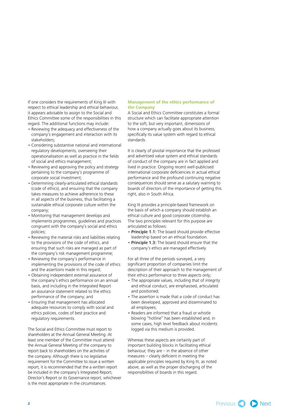If one considers the requirements of King III with respect to ethical leadership and ethical behaviour, it appears advisable to assign to the Social and Ethics Committee some of the responsibilities in this regard. The additional functions may include:

- Reviewing the adequacy and effectiveness of the company's engagement and interaction with its stakeholders;
- Considering substantive national and international regulatory developments, overseeing their operationalisation as well as practice in the fields of social and ethics management;
- Reviewing and approving the policy and strategy pertaining to the company's programme of corporate social investment;
- Determining clearly-articulated ethical standards (code of ethics), and ensuring that the company takes measures to achieve adherence to these in all aspects of the business, thus facilitating a sustainable ethical corporate culture within the company;
- Monitoring that management develops and implements programmes, guidelines and practices congruent with the company's social and ethics policies;
- Reviewing the material risks and liabilities relating to the provisions of the code of ethics, and ensuring that such risks are managed as part of the company's risk management programme;
- Reviewing the company's performance in implementing the provisions of the code of ethics and the assertions made in this regard;
- Obtaining independent external assurance of the company's ethics performance on an annual basis, and including in the Integrated Report an assurance statement related to the ethics performance of the company; and
- Ensuring that management has allocated adequate resources to comply with social and ethics policies, codes of best practice and regulatory requirements.

The Social and Ethics Committee must report to shareholders at the Annual General Meeting. At least one member of the Committee must attend the Annual General Meeting of the company to report back to shareholders on the activities of the company. Although there is no legislative requirement for the Committee to issue a written report, it is recommended that the a written report be included in the company's Integrated Report, Director's Report or its Governance report, whichever is the most appropriate in the circumstances.

## **Management of the ethics performance of the Company**

A Social and Ethics Committee constitutes a formal structure which can facilitate appropriate attention to the soft, but very important, dimensions of how a company actually goes about its business, specifically its value system with regard to ethical standards.

It is clearly of pivotal importance that the professed and advertised value system and ethical standards of conduct of the company are in fact applied and lived in practice. Ongoing recent well-publicised international corporate deficiencies in actual ethical performance and the profound continuing negative consequences should serve as a salutary warning to boards of directors of the importance of getting this right, also in South Africa.

King III provides a principle-based framework on the basis of which a company should establish an ethical culture and good corporate citizenship. The two principles relevant for this purpose are articulated as follows:

- Principle 1.1: The board should provide effective leadership based on an ethical foundation.
- Principle 1.3: The board should ensure that the company's ethics are managed effectively.

For all three of the periods surveyed, a very significant proportion of companies limit the description of their approach to the management of their ethics performance to three aspects only;

- The appropriate values, including that of integrity and ethical conduct, are emphasised, articulated and positioned;
- The assertion is made that a code of conduct has been developed, approved and disseminated to all employees;
- Readers are informed that a fraud or whistle blowing "hotline" has been established and, in some cases, high level feedback about incidents logged via this medium is provided.

Whereas these aspects are certainly part of important building blocks in facilitating ethical behaviour, they are – in the absence of other measures – clearly deficient in meeting the applicable principles required by King III, as noted above, as well as the proper discharging of the responsibilities of boards in this regard.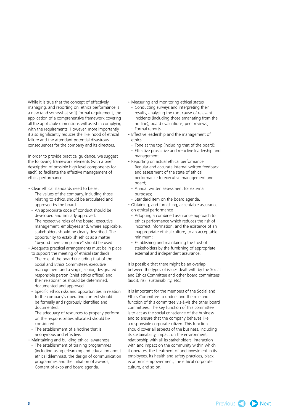While it is true that the concept of effectively managing, and reporting on, ethics performance is a new (and somewhat soft) formal requirement, the application of a comprehensive framework covering all the applicable dimensions will assist in complying with the requirements. However, more importantly, it also significantly reduces the likelihood of ethical failure and the attendant potential disastrous consequences for the company and its directors.

In order to provide practical guidance, we suggest the following framework elements (with a brief description of possible high level components for each) to facilitate the effective management of ethics performance:

- Clear ethical standards need to be set
- The values of the company, including those relating to ethics, should be articulated and approved by the board.
- An appropriate code of conduct should be developed and similarly approved.
- The respective roles of the board, executive management, employees and, where applicable, stakeholders should be clearly described. The opportunity to establish ethics as a matter "beyond mere compliance" should be used.
- Adequate practical arrangements must be in place to support the meeting of ethical standards
- The role of the board (including that of the Social and Ethics Committee), executive management and a single, senior, designated responsible person (chief ethics officer) and their relationships should be determined, documented and approved.
- Specific ethics risks and opportunities in relation to the company's operating context should be formally and rigorously identified and documented.
- The adequacy of resources to properly perform on the responsibilities allocated should be considered.
- The establishment of a hotline that is anonymous and effective.
- Maintaining and building ethical awareness
- The establishment of training programmes (including using e-learning and education about ethical dilemmas), the design of communication programmes and the initiation of awards;
- Content of exco and board agenda.
- Measuring and monitoring ethical status
- Conducting surveys and interpreting their results, analysing the root cause of relevant incidents (including those emanating from the hotline), board evaluations, peer reviews; - Formal reports.
- Effective leadership and the management of ethics
	- Tone at the top (including that of the board);
	- Effective pro-active and re-active leadership and management.
- Reporting on actual ethical performance
- Regular and accurate internal written feedback and assessment of the state of ethical performance to executive management and board;
- Annual written assessment for external purposes;
- Standard item on the board agenda.
- Obtaining, and furnishing, acceptable assurance on ethical performance
	- Adopting a combined assurance approach to ethics performance which reduces the risk of incorrect information, and the existence of an inappropriate ethical culture, to an acceptable minimum;
	- Establishing and maintaining the trust of stakeholders by the furnishing of appropriate external and independent assurance.

It is possible that there might be an overlap between the types of issues dealt with by the Social and Ethics Committee and other board committees (audit, risk, sustainability, etc.).

It is important for the members of the Social and Ethics Committee to understand the role and function of this committee vis-à-vis the other board committees. The key function of this committee is to act as the social conscience of the business and to ensure that the company behaves like a responsible corporate citizen. This function should cover all aspects of the business, including its sustainability, impact on the environment, relationship with all its stakeholders, interaction with and impact on the community within which it operates, the treatment of and investment in its employees, its health and safety practices, black economic empowerment, the ethical corporate culture, and so on.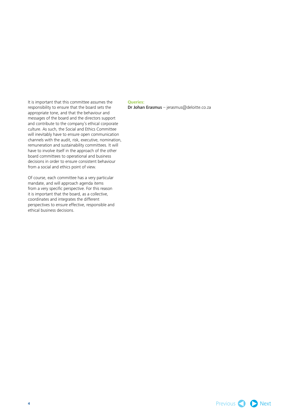It is important that this committee assumes the responsibility to ensure that the board sets the appropriate tone, and that the behaviour and messages of the board and the directors support and contribute to the company's ethical corporate culture. As such, the Social and Ethics Committee will inevitably have to ensure open communication channels with the audit, risk, executive, nomination, remuneration and sustainability committees. It will have to involve itself in the approach of the other board committees to operational and business decisions in order to ensure consistent behaviour from a social and ethics point of view.

Of course, each committee has a very particular mandate, and will approach agenda items from a very specific perspective. For this reason it is important that the board, as a collective, coordinates and integrates the different perspectives to ensure effective, responsible and ethical business decisions.

## **Queries:**

Dr Johan Erasmus – jerasmus@deloitte.co.za